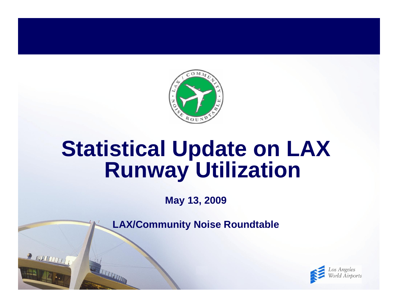

# **Statistical Update on LAX Runway Utilization**

**May 13, 2009**

**LAX/Community Noise Roundtable**

R INVENTIT

**TELEVISION** 

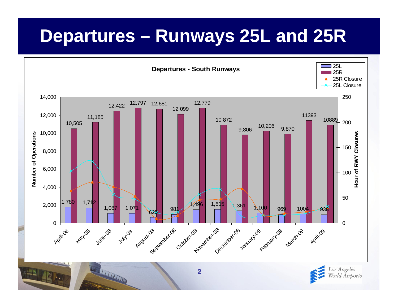## **Departures – Runways 25L and 25R**



**2**

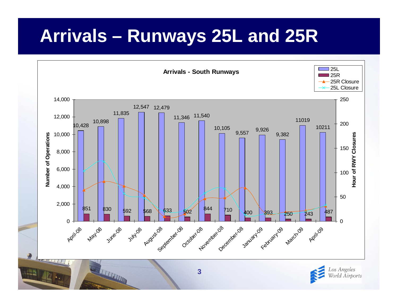# **Arrivals – Runways 25L and 25R**





THE REAL PROPERTY AND IN

●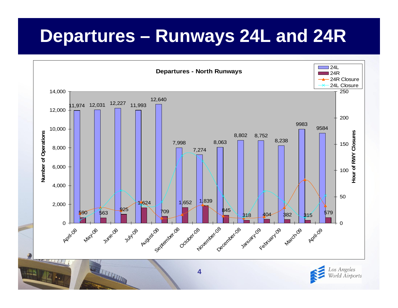### **Departures – Runways 24L and 24R**



Los Angeles World Airports

THE REAL PROPERTY AND IN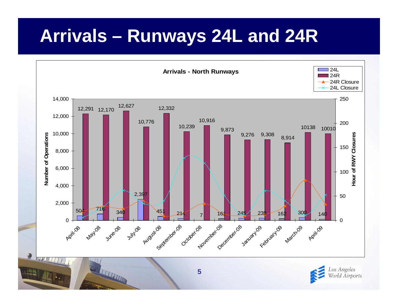## **Arrivals – Runways 24L and 24R**





THE REAL PROPERTY AND INCOME.

**●**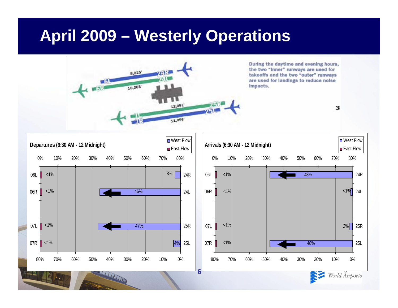#### **April 2009 – Westerly Operations**





World Airports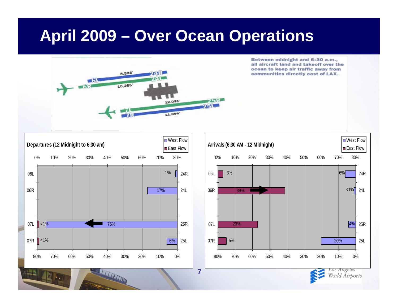#### **April 2009 – Over Ocean Operations**



**7**



THE REAL PROPERTY AND IN





World Airports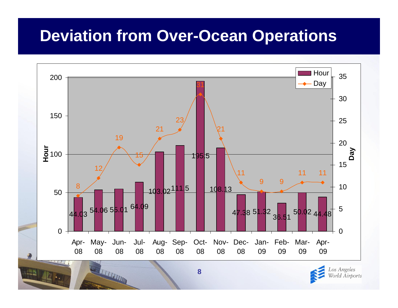#### **Deviation from Over-Ocean Operations**





**THE REAL PROPERTY AND**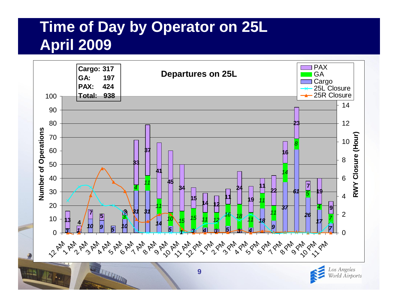#### **Time of Day by Operator on 25L April 2009**

净



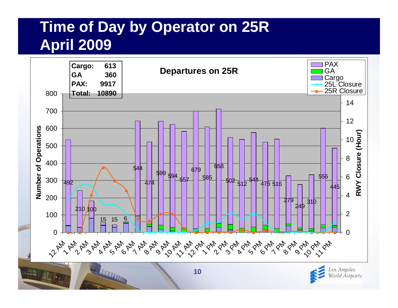#### **Time of Day by Operator on 25R April 2009**



World Airports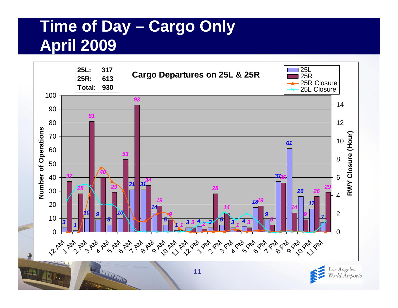### **Time of Day – Cargo Only April 2009**

**THE REAL PROPERTY AND IN** 



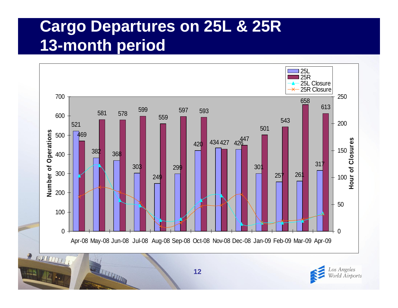#### **Cargo Departures on 25L & 25R 13-month period**





**TELEVISION**